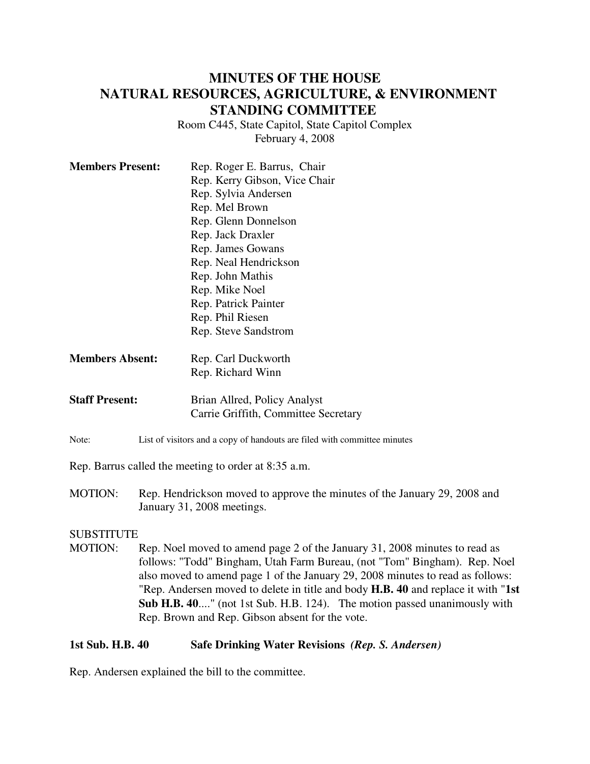# **MINUTES OF THE HOUSE NATURAL RESOURCES, AGRICULTURE, & ENVIRONMENT STANDING COMMITTEE**

Room C445, State Capitol, State Capitol Complex February 4, 2008

| <b>Members Present:</b> | Rep. Roger E. Barrus, Chair          |
|-------------------------|--------------------------------------|
|                         | Rep. Kerry Gibson, Vice Chair        |
|                         | Rep. Sylvia Andersen                 |
|                         | Rep. Mel Brown                       |
|                         | Rep. Glenn Donnelson                 |
|                         | Rep. Jack Draxler                    |
|                         | Rep. James Gowans                    |
|                         | Rep. Neal Hendrickson                |
|                         | Rep. John Mathis                     |
|                         | Rep. Mike Noel                       |
|                         | Rep. Patrick Painter                 |
|                         | Rep. Phil Riesen                     |
|                         | Rep. Steve Sandstrom                 |
| <b>Members Absent:</b>  | Rep. Carl Duckworth                  |
|                         | Rep. Richard Winn                    |
| <b>Staff Present:</b>   | Brian Allred, Policy Analyst         |
|                         | Carrie Griffith, Committee Secretary |

Note: List of visitors and a copy of handouts are filed with committee minutes

Rep. Barrus called the meeting to order at 8:35 a.m.

MOTION: Rep. Hendrickson moved to approve the minutes of the January 29, 2008 and January 31, 2008 meetings.

### **SUBSTITUTE**

MOTION: Rep. Noel moved to amend page 2 of the January 31, 2008 minutes to read as follows: "Todd" Bingham, Utah Farm Bureau, (not "Tom" Bingham). Rep. Noel also moved to amend page 1 of the January 29, 2008 minutes to read as follows: "Rep. Andersen moved to delete in title and body **H.B. 40** and replace it with "**1st Sub H.B. 40**...." (not 1st Sub. H.B. 124). The motion passed unanimously with Rep. Brown and Rep. Gibson absent for the vote.

### **1st Sub. H.B. 40 Safe Drinking Water Revisions** *(Rep. S. Andersen)*

Rep. Andersen explained the bill to the committee.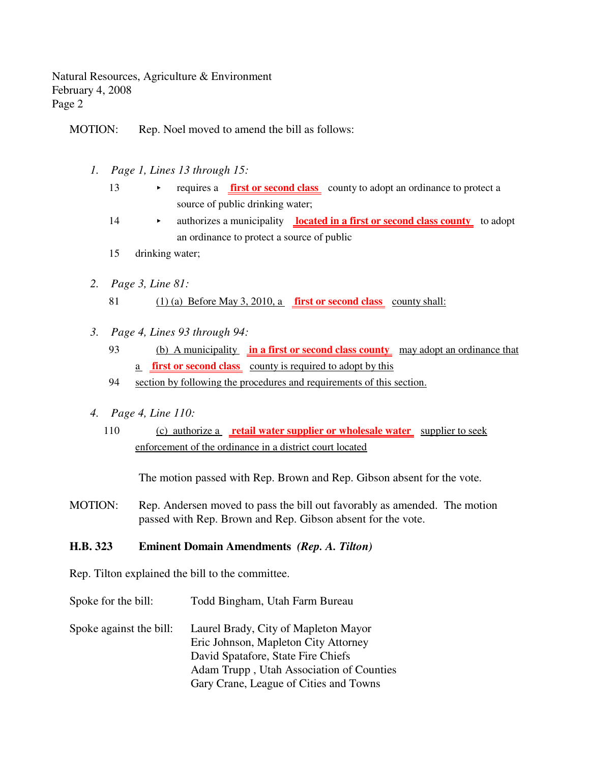Natural Resources, Agriculture & Environment February 4, 2008 Page 2

MOTION: Rep. Noel moved to amend the bill as follows:

- *1. Page 1, Lines 13 through 15:*
	- 13 requires a **first or second class** county to adopt an ordinance to protect a source of public drinking water;
	- 14 authorizes a municipality **located in a first or second class county** to adopt an ordinance to protect a source of public
	- 15 drinking water;
- *2. Page 3, Line 81:* 81 (1) (a) Before May 3, 2010, a **first or second class** county shall:
- *3. Page 4, Lines 93 through 94:*
	- 93 (b) A municipality **in a first or second class county** may adopt an ordinance that a **first or second class** county is required to adopt by this
	- 94 section by following the procedures and requirements of this section.
- *4. Page 4, Line 110:*
	- 110 (c) authorize a **retail water supplier or wholesale water** supplier to seek enforcement of the ordinance in a district court located

The motion passed with Rep. Brown and Rep. Gibson absent for the vote.

MOTION: Rep. Andersen moved to pass the bill out favorably as amended. The motion passed with Rep. Brown and Rep. Gibson absent for the vote.

### **H.B. 323 Eminent Domain Amendments** *(Rep. A. Tilton)*

Rep. Tilton explained the bill to the committee.

- Spoke for the bill: Todd Bingham, Utah Farm Bureau
- Spoke against the bill: Laurel Brady, City of Mapleton Mayor Eric Johnson, Mapleton City Attorney David Spatafore, State Fire Chiefs Adam Trupp , Utah Association of Counties Gary Crane, League of Cities and Towns